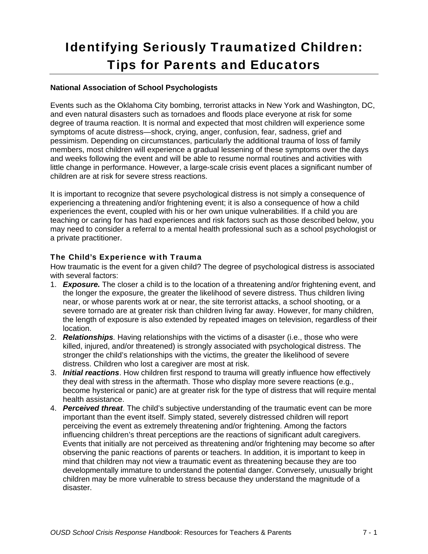# Identifying Seriously Traumatized Children: Tips for Parents and Educators

### **National Association of School Psychologists**

Events such as the Oklahoma City bombing, terrorist attacks in New York and Washington, DC, and even natural disasters such as tornadoes and floods place everyone at risk for some degree of trauma reaction. It is normal and expected that most children will experience some symptoms of acute distress—shock, crying, anger, confusion, fear, sadness, grief and pessimism. Depending on circumstances, particularly the additional trauma of loss of family members, most children will experience a gradual lessening of these symptoms over the days and weeks following the event and will be able to resume normal routines and activities with little change in performance. However, a large-scale crisis event places a significant number of children are at risk for severe stress reactions.

It is important to recognize that severe psychological distress is not simply a consequence of experiencing a threatening and/or frightening event; it is also a consequence of how a child experiences the event, coupled with his or her own unique vulnerabilities. If a child you are teaching or caring for has had experiences and risk factors such as those described below, you may need to consider a referral to a mental health professional such as a school psychologist or a private practitioner.

#### The Child's Experience with Trauma

How traumatic is the event for a given child? The degree of psychological distress is associated with several factors:

- 1. *Exposure.* The closer a child is to the location of a threatening and/or frightening event, and the longer the exposure, the greater the likelihood of severe distress. Thus children living near, or whose parents work at or near, the site terrorist attacks, a school shooting, or a severe tornado are at greater risk than children living far away. However, for many children, the length of exposure is also extended by repeated images on television, regardless of their location.
- 2. *Relationships.* Having relationships with the victims of a disaster (i.e., those who were killed, injured, and/or threatened) is strongly associated with psychological distress. The stronger the child's relationships with the victims, the greater the likelihood of severe distress. Children who lost a caregiver are most at risk.
- 3. *Initial reactions*. How children first respond to trauma will greatly influence how effectively they deal with stress in the aftermath. Those who display more severe reactions (e.g., become hysterical or panic) are at greater risk for the type of distress that will require mental health assistance.
- 4. *Perceived threat*. The child's subjective understanding of the traumatic event can be more important than the event itself. Simply stated, severely distressed children will report perceiving the event as extremely threatening and/or frightening. Among the factors influencing children's threat perceptions are the reactions of significant adult caregivers. Events that initially are not perceived as threatening and/or frightening may become so after observing the panic reactions of parents or teachers. In addition, it is important to keep in mind that children may not view a traumatic event as threatening because they are too developmentally immature to understand the potential danger. Conversely, unusually bright children may be more vulnerable to stress because they understand the magnitude of a disaster.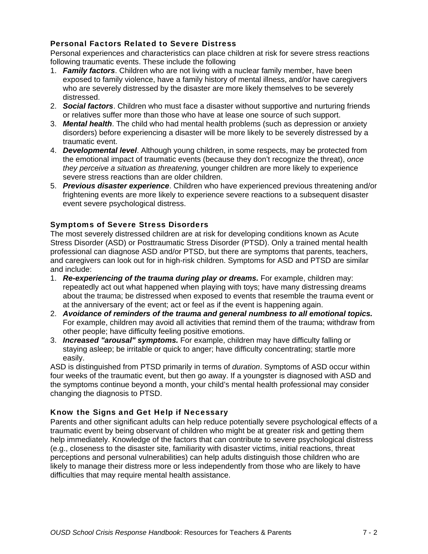## Personal Factors Related to Severe Distress

Personal experiences and characteristics can place children at risk for severe stress reactions following traumatic events. These include the following

- 1. *Family factors*. Children who are not living with a nuclear family member, have been exposed to family violence, have a family history of mental illness, and/or have caregivers who are severely distressed by the disaster are more likely themselves to be severely distressed.
- 2. *Social factors*. Children who must face a disaster without supportive and nurturing friends or relatives suffer more than those who have at lease one source of such support.
- 3. *Mental health*. The child who had mental health problems (such as depression or anxiety disorders) before experiencing a disaster will be more likely to be severely distressed by a traumatic event.
- 4. *Developmental level*. Although young children, in some respects, may be protected from the emotional impact of traumatic events (because they don't recognize the threat), *once they perceive a situation as threatening,* younger children are more likely to experience severe stress reactions than are older children.
- 5. *Previous disaster experience*. Children who have experienced previous threatening and/or frightening events are more likely to experience severe reactions to a subsequent disaster event severe psychological distress.

## Symptoms of Severe Stress Disorders

The most severely distressed children are at risk for developing conditions known as Acute Stress Disorder (ASD) or Posttraumatic Stress Disorder (PTSD). Only a trained mental health professional can diagnose ASD and/or PTSD, but there are symptoms that parents, teachers, and caregivers can look out for in high-risk children. Symptoms for ASD and PTSD are similar and include:

- 1. *Re-experiencing of the trauma during play or dreams.* For example, children may: repeatedly act out what happened when playing with toys; have many distressing dreams about the trauma; be distressed when exposed to events that resemble the trauma event or at the anniversary of the event; act or feel as if the event is happening again.
- 2. *Avoidance of reminders of the trauma and general numbness to all emotional topics.* For example, children may avoid all activities that remind them of the trauma; withdraw from other people; have difficulty feeling positive emotions.
- 3. *Increased "arousal" symptoms.* For example, children may have difficulty falling or staying asleep; be irritable or quick to anger; have difficulty concentrating; startle more easily.

ASD is distinguished from PTSD primarily in terms of *duration*. Symptoms of ASD occur within four weeks of the traumatic event, but then go away. If a youngster is diagnosed with ASD and the symptoms continue beyond a month, your child's mental health professional may consider changing the diagnosis to PTSD.

## Know the Signs and Get Help if Necessary

Parents and other significant adults can help reduce potentially severe psychological effects of a traumatic event by being observant of children who might be at greater risk and getting them help immediately. Knowledge of the factors that can contribute to severe psychological distress (e.g., closeness to the disaster site, familiarity with disaster victims, initial reactions, threat perceptions and personal vulnerabilities) can help adults distinguish those children who are likely to manage their distress more or less independently from those who are likely to have difficulties that may require mental health assistance.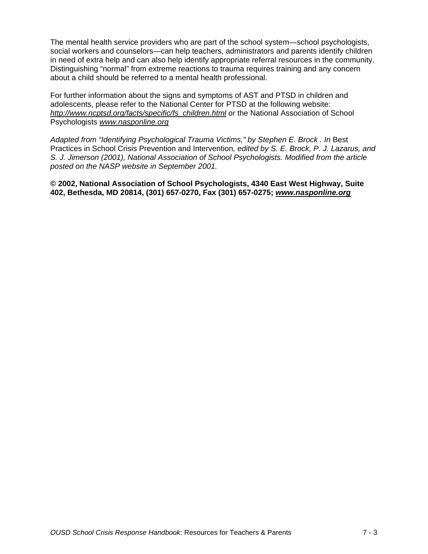The mental health service providers who are part of the school system—school psychologists, social workers and counselors—can help teachers, administrators and parents identify children in need of extra help and can also help identify appropriate referral resources in the community. Distinguishing "normal" from extreme reactions to trauma requires training and any concern about a child should be referred to a mental health professional.

For further information about the signs and symptoms of AST and PTSD in children and adolescents, please refer to the National Center for PTSD at the following website: *http://www.ncptsd.org/facts/specific/fs\_children.html* or the National Association of School Psychologists *www.nasponline.org*

*Adapted from "Identifying Psychological Trauma Victims," by Stephen E. Brock . In* Best Practices in School Crisis Prevention and Intervention*, edited by S. E. Brock, P. J. Lazarus, and S. J. Jimerson (2001), National Association of School Psychologists. Modified from the article posted on the NASP website in September 2001.* 

**© 2002, National Association of School Psychologists, 4340 East West Highway, Suite 402, Bethesda, MD 20814, (301) 657-0270, Fax (301) 657-0275;** *www.nasponline.org*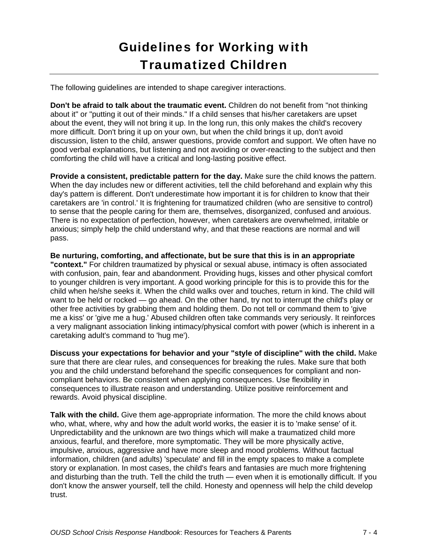## Guidelines for Working with Traumatized Children

The following guidelines are intended to shape caregiver interactions.

**Don't be afraid to talk about the traumatic event.** Children do not benefit from "not thinking about it" or "putting it out of their minds." If a child senses that his/her caretakers are upset about the event, they will not bring it up. In the long run, this only makes the child's recovery more difficult. Don't bring it up on your own, but when the child brings it up, don't avoid discussion, listen to the child, answer questions, provide comfort and support. We often have no good verbal explanations, but listening and not avoiding or over-reacting to the subject and then comforting the child will have a critical and long-lasting positive effect.

**Provide a consistent, predictable pattern for the day.** Make sure the child knows the pattern. When the day includes new or different activities, tell the child beforehand and explain why this day's pattern is different. Don't underestimate how important it is for children to know that their caretakers are 'in control.' It is frightening for traumatized children (who are sensitive to control) to sense that the people caring for them are, themselves, disorganized, confused and anxious. There is no expectation of perfection, however, when caretakers are overwhelmed, irritable or anxious; simply help the child understand why, and that these reactions are normal and will pass.

**Be nurturing, comforting, and affectionate, but be sure that this is in an appropriate "context."** For children traumatized by physical or sexual abuse, intimacy is often associated with confusion, pain, fear and abandonment. Providing hugs, kisses and other physical comfort to younger children is very important. A good working principle for this is to provide this for the child when he/she seeks it. When the child walks over and touches, return in kind. The child will want to be held or rocked — go ahead. On the other hand, try not to interrupt the child's play or other free activities by grabbing them and holding them. Do not tell or command them to 'give me a kiss' or 'give me a hug.' Abused children often take commands very seriously. It reinforces a very malignant association linking intimacy/physical comfort with power (which is inherent in a caretaking adult's command to 'hug me').

**Discuss your expectations for behavior and your "style of discipline" with the child.** Make sure that there are clear rules, and consequences for breaking the rules. Make sure that both you and the child understand beforehand the specific consequences for compliant and noncompliant behaviors. Be consistent when applying consequences. Use flexibility in consequences to illustrate reason and understanding. Utilize positive reinforcement and rewards. Avoid physical discipline.

**Talk with the child.** Give them age-appropriate information. The more the child knows about who, what, where, why and how the adult world works, the easier it is to 'make sense' of it. Unpredictability and the unknown are two things which will make a traumatized child more anxious, fearful, and therefore, more symptomatic. They will be more physically active, impulsive, anxious, aggressive and have more sleep and mood problems. Without factual information, children (and adults) 'speculate' and fill in the empty spaces to make a complete story or explanation. In most cases, the child's fears and fantasies are much more frightening and disturbing than the truth. Tell the child the truth — even when it is emotionally difficult. If you don't know the answer yourself, tell the child. Honesty and openness will help the child develop trust.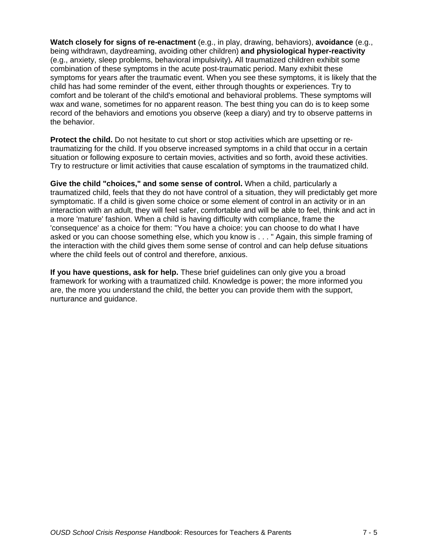**Watch closely for signs of re-enactment** (e.g., in play, drawing, behaviors), **avoidance** (e.g., being withdrawn, daydreaming, avoiding other children) **and physiological hyper-reactivity** (e.g., anxiety, sleep problems, behavioral impulsivity)**.** All traumatized children exhibit some combination of these symptoms in the acute post-traumatic period. Many exhibit these symptoms for years after the traumatic event. When you see these symptoms, it is likely that the child has had some reminder of the event, either through thoughts or experiences. Try to comfort and be tolerant of the child's emotional and behavioral problems. These symptoms will wax and wane, sometimes for no apparent reason. The best thing you can do is to keep some record of the behaviors and emotions you observe (keep a diary) and try to observe patterns in the behavior.

**Protect the child.** Do not hesitate to cut short or stop activities which are upsetting or retraumatizing for the child. If you observe increased symptoms in a child that occur in a certain situation or following exposure to certain movies, activities and so forth, avoid these activities. Try to restructure or limit activities that cause escalation of symptoms in the traumatized child.

**Give the child "choices," and some sense of control.** When a child, particularly a traumatized child, feels that they do not have control of a situation, they will predictably get more symptomatic. If a child is given some choice or some element of control in an activity or in an interaction with an adult, they will feel safer, comfortable and will be able to feel, think and act in a more 'mature' fashion. When a child is having difficulty with compliance, frame the 'consequence' as a choice for them: "You have a choice: you can choose to do what I have asked or you can choose something else, which you know is . . . " Again, this simple framing of the interaction with the child gives them some sense of control and can help defuse situations where the child feels out of control and therefore, anxious.

**If you have questions, ask for help.** These brief guidelines can only give you a broad framework for working with a traumatized child. Knowledge is power; the more informed you are, the more you understand the child, the better you can provide them with the support, nurturance and guidance.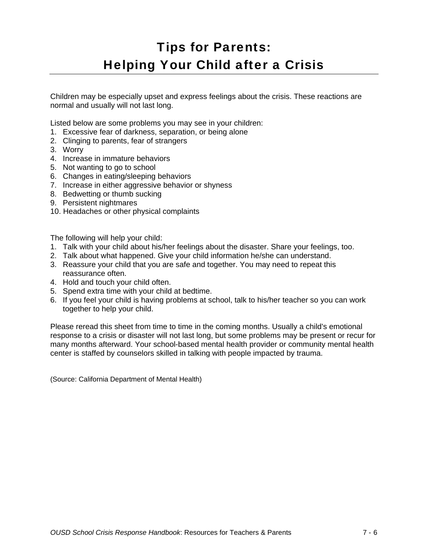# Tips for Parents: Helping Your Child after a Crisis

Children may be especially upset and express feelings about the crisis. These reactions are normal and usually will not last long.

Listed below are some problems you may see in your children:

- 1. Excessive fear of darkness, separation, or being alone
- 2. Clinging to parents, fear of strangers
- 3. Worry
- 4. Increase in immature behaviors
- 5. Not wanting to go to school
- 6. Changes in eating/sleeping behaviors
- 7. Increase in either aggressive behavior or shyness
- 8. Bedwetting or thumb sucking
- 9. Persistent nightmares
- 10. Headaches or other physical complaints

The following will help your child:

- 1. Talk with your child about his/her feelings about the disaster. Share your feelings, too.
- 2. Talk about what happened. Give your child information he/she can understand.
- 3. Reassure your child that you are safe and together. You may need to repeat this reassurance often.
- 4. Hold and touch your child often.
- 5. Spend extra time with your child at bedtime.
- 6. If you feel your child is having problems at school, talk to his/her teacher so you can work together to help your child.

Please reread this sheet from time to time in the coming months. Usually a child's emotional response to a crisis or disaster will not last long, but some problems may be present or recur for many months afterward. Your school-based mental health provider or community mental health center is staffed by counselors skilled in talking with people impacted by trauma.

(Source: California Department of Mental Health)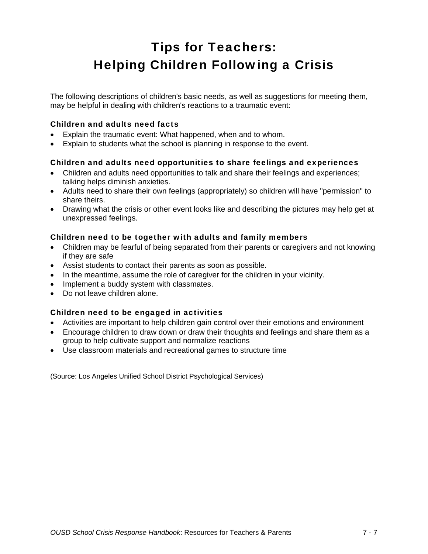# Tips for Teachers: Helping Children Following a Crisis

The following descriptions of children's basic needs, as well as suggestions for meeting them, may be helpful in dealing with children's reactions to a traumatic event:

## Children and adults need facts

- Explain the traumatic event: What happened, when and to whom.
- Explain to students what the school is planning in response to the event.

#### Children and adults need opportunities to share feelings and experiences

- Children and adults need opportunities to talk and share their feelings and experiences; talking helps diminish anxieties.
- Adults need to share their own feelings (appropriately) so children will have "permission" to share theirs.
- Drawing what the crisis or other event looks like and describing the pictures may help get at unexpressed feelings.

## Children need to be together with adults and family members

- Children may be fearful of being separated from their parents or caregivers and not knowing if they are safe
- Assist students to contact their parents as soon as possible.
- In the meantime, assume the role of caregiver for the children in your vicinity.
- Implement a buddy system with classmates.
- Do not leave children alone.

## Children need to be engaged in activities

- Activities are important to help children gain control over their emotions and environment
- Encourage children to draw down or draw their thoughts and feelings and share them as a group to help cultivate support and normalize reactions
- Use classroom materials and recreational games to structure time

(Source: Los Angeles Unified School District Psychological Services)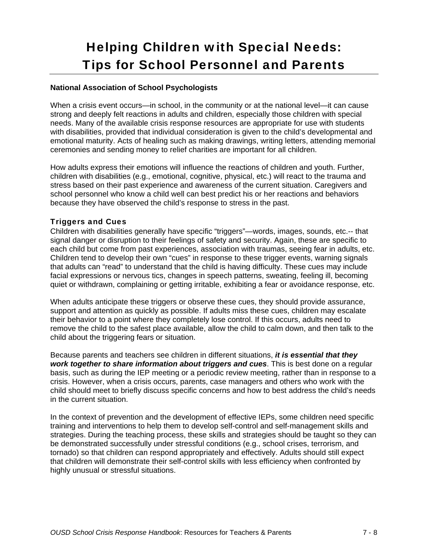# Helping Children with Special Needs: Tips for School Personnel and Parents

### **National Association of School Psychologists**

When a crisis event occurs—in school, in the community or at the national level—it can cause strong and deeply felt reactions in adults and children, especially those children with special needs. Many of the available crisis response resources are appropriate for use with students with disabilities, provided that individual consideration is given to the child's developmental and emotional maturity. Acts of healing such as making drawings, writing letters, attending memorial ceremonies and sending money to relief charities are important for all children.

How adults express their emotions will influence the reactions of children and youth. Further, children with disabilities (e.g., emotional, cognitive, physical, etc.) will react to the trauma and stress based on their past experience and awareness of the current situation. Caregivers and school personnel who know a child well can best predict his or her reactions and behaviors because they have observed the child's response to stress in the past.

#### Triggers and Cues

Children with disabilities generally have specific "triggers"—words, images, sounds, etc.-- that signal danger or disruption to their feelings of safety and security. Again, these are specific to each child but come from past experiences, association with traumas, seeing fear in adults, etc. Children tend to develop their own "cues" in response to these trigger events, warning signals that adults can "read" to understand that the child is having difficulty. These cues may include facial expressions or nervous tics, changes in speech patterns, sweating, feeling ill, becoming quiet or withdrawn, complaining or getting irritable, exhibiting a fear or avoidance response, etc.

When adults anticipate these triggers or observe these cues, they should provide assurance, support and attention as quickly as possible. If adults miss these cues, children may escalate their behavior to a point where they completely lose control. If this occurs, adults need to remove the child to the safest place available, allow the child to calm down, and then talk to the child about the triggering fears or situation.

Because parents and teachers see children in different situations, *it is essential that they work together to share information about triggers and cues*. This is best done on a regular basis, such as during the IEP meeting or a periodic review meeting, rather than in response to a crisis. However, when a crisis occurs, parents, case managers and others who work with the child should meet to briefly discuss specific concerns and how to best address the child's needs in the current situation.

In the context of prevention and the development of effective IEPs, some children need specific training and interventions to help them to develop self-control and self-management skills and strategies. During the teaching process, these skills and strategies should be taught so they can be demonstrated successfully under stressful conditions (e.g., school crises, terrorism, and tornado) so that children can respond appropriately and effectively. Adults should still expect that children will demonstrate their self-control skills with less efficiency when confronted by highly unusual or stressful situations.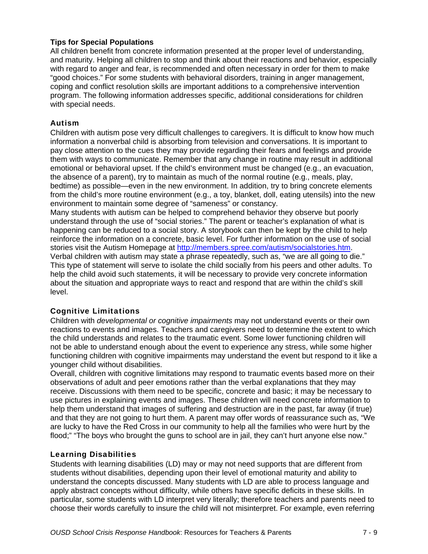## **Tips for Special Populations**

All children benefit from concrete information presented at the proper level of understanding, and maturity. Helping all children to stop and think about their reactions and behavior, especially with regard to anger and fear, is recommended and often necessary in order for them to make "good choices." For some students with behavioral disorders, training in anger management, coping and conflict resolution skills are important additions to a comprehensive intervention program. The following information addresses specific, additional considerations for children with special needs.

## Autism

Children with autism pose very difficult challenges to caregivers. It is difficult to know how much information a nonverbal child is absorbing from television and conversations. It is important to pay close attention to the cues they may provide regarding their fears and feelings and provide them with ways to communicate. Remember that any change in routine may result in additional emotional or behavioral upset. If the child's environment must be changed (e.g., an evacuation, the absence of a parent), try to maintain as much of the normal routine (e.g., meals, play, bedtime) as possible—even in the new environment. In addition, try to bring concrete elements from the child's more routine environment (e.g., a toy, blanket, doll, eating utensils) into the new environment to maintain some degree of "sameness" or constancy.

Many students with autism can be helped to comprehend behavior they observe but poorly understand through the use of "social stories." The parent or teacher's explanation of what is happening can be reduced to a social story. A storybook can then be kept by the child to help reinforce the information on a concrete, basic level. For further information on the use of social stories visit the Autism Homepage at http://members.spree.com/autism/socialstories.htm. Verbal children with autism may state a phrase repeatedly, such as, "we are all going to die." This type of statement will serve to isolate the child socially from his peers and other adults. To help the child avoid such statements, it will be necessary to provide very concrete information about the situation and appropriate ways to react and respond that are within the child's skill level.

## Cognitive Limitations

Children with *developmental or cognitive impairments* may not understand events or their own reactions to events and images. Teachers and caregivers need to determine the extent to which the child understands and relates to the traumatic event. Some lower functioning children will not be able to understand enough about the event to experience any stress, while some higher functioning children with cognitive impairments may understand the event but respond to it like a younger child without disabilities.

Overall, children with cognitive limitations may respond to traumatic events based more on their observations of adult and peer emotions rather than the verbal explanations that they may receive. Discussions with them need to be specific, concrete and basic; it may be necessary to use pictures in explaining events and images. These children will need concrete information to help them understand that images of suffering and destruction are in the past, far away (if true) and that they are not going to hurt them. A parent may offer words of reassurance such as, "We are lucky to have the Red Cross in our community to help all the families who were hurt by the flood;" "The boys who brought the guns to school are in jail, they can't hurt anyone else now."

## Learning Disabilities

Students with learning disabilities (LD) may or may not need supports that are different from students without disabilities, depending upon their level of emotional maturity and ability to understand the concepts discussed. Many students with LD are able to process language and apply abstract concepts without difficulty, while others have specific deficits in these skills. In particular, some students with LD interpret very literally; therefore teachers and parents need to choose their words carefully to insure the child will not misinterpret. For example, even referring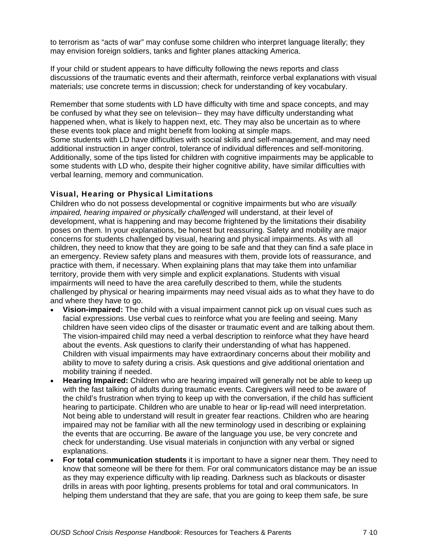to terrorism as "acts of war" may confuse some children who interpret language literally; they may envision foreign soldiers, tanks and fighter planes attacking America.

If your child or student appears to have difficulty following the news reports and class discussions of the traumatic events and their aftermath, reinforce verbal explanations with visual materials; use concrete terms in discussion; check for understanding of key vocabulary.

Remember that some students with LD have difficulty with time and space concepts, and may be confused by what they see on television-- they may have difficulty understanding what happened when, what is likely to happen next, etc. They may also be uncertain as to where these events took place and might benefit from looking at simple maps.

Some students with LD have difficulties with social skills and self-management, and may need additional instruction in anger control, tolerance of individual differences and self-monitoring. Additionally, some of the tips listed for children with cognitive impairments may be applicable to some students with LD who, despite their higher cognitive ability, have similar difficulties with verbal learning, memory and communication.

## Visual, Hearing or Physical Limitations

Children who do not possess developmental or cognitive impairments but who are *visually impaired, hearing impaired or physically challenged* will understand, at their level of development, what is happening and may become frightened by the limitations their disability poses on them. In your explanations, be honest but reassuring. Safety and mobility are major concerns for students challenged by visual, hearing and physical impairments. As with all children, they need to know that they are going to be safe and that they can find a safe place in an emergency. Review safety plans and measures with them, provide lots of reassurance, and practice with them, if necessary. When explaining plans that may take them into unfamiliar territory, provide them with very simple and explicit explanations. Students with visual impairments will need to have the area carefully described to them, while the students challenged by physical or hearing impairments may need visual aids as to what they have to do and where they have to go.

- **Vision-impaired:** The child with a visual impairment cannot pick up on visual cues such as facial expressions. Use verbal cues to reinforce what you are feeling and seeing. Many children have seen video clips of the disaster or traumatic event and are talking about them. The vision-impaired child may need a verbal description to reinforce what they have heard about the events. Ask questions to clarify their understanding of what has happened. Children with visual impairments may have extraordinary concerns about their mobility and ability to move to safety during a crisis. Ask questions and give additional orientation and mobility training if needed.
- **Hearing Impaired:** Children who are hearing impaired will generally not be able to keep up with the fast talking of adults during traumatic events. Caregivers will need to be aware of the child's frustration when trying to keep up with the conversation, if the child has sufficient hearing to participate. Children who are unable to hear or lip-read will need interpretation. Not being able to understand will result in greater fear reactions. Children who are hearing impaired may not be familiar with all the new terminology used in describing or explaining the events that are occurring. Be aware of the language you use, be very concrete and check for understanding. Use visual materials in conjunction with any verbal or signed explanations.
- **For total communication students** it is important to have a signer near them. They need to know that someone will be there for them. For oral communicators distance may be an issue as they may experience difficulty with lip reading. Darkness such as blackouts or disaster drills in areas with poor lighting, presents problems for total and oral communicators. In helping them understand that they are safe, that you are going to keep them safe, be sure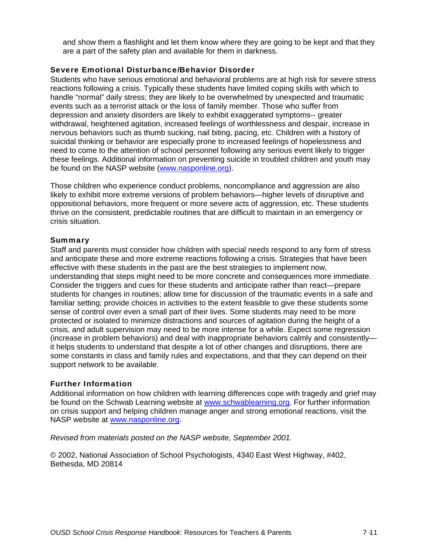and show them a flashlight and let them know where they are going to be kept and that they are a part of the safety plan and available for them in darkness.

#### Severe Emotional Disturbance/Behavior Disorder

Students who have serious emotional and behavioral problems are at high risk for severe stress reactions following a crisis. Typically these students have limited coping skills with which to handle "normal" daily stress; they are likely to be overwhelmed by unexpected and traumatic events such as a terrorist attack or the loss of family member. Those who suffer from depression and anxiety disorders are likely to exhibit exaggerated symptoms-- greater withdrawal, heightened agitation, increased feelings of worthlessness and despair, increase in nervous behaviors such as thumb sucking, nail biting, pacing, etc. Children with a history of suicidal thinking or behavior are especially prone to increased feelings of hopelessness and need to come to the attention of school personnel following any serious event likely to trigger these feelings. Additional information on preventing suicide in troubled children and youth may be found on the NASP website (www.nasponline.org).

Those children who experience conduct problems, noncompliance and aggression are also likely to exhibit more extreme versions of problem behaviors—higher levels of disruptive and oppositional behaviors, more frequent or more severe acts of aggression, etc. These students thrive on the consistent, predictable routines that are difficult to maintain in an emergency or crisis situation.

#### **Summary**

Staff and parents must consider how children with special needs respond to any form of stress and anticipate these and more extreme reactions following a crisis. Strategies that have been effective with these students in the past are the best strategies to implement now, understanding that steps might need to be more concrete and consequences more immediate. Consider the triggers and cues for these students and anticipate rather than react—prepare students for changes in routines; allow time for discussion of the traumatic events in a safe and familiar setting; provide choices in activities to the extent feasible to give these students some sense of control over even a small part of their lives. Some students may need to be more protected or isolated to minimize distractions and sources of agitation during the height of a crisis, and adult supervision may need to be more intense for a while. Expect some regression (increase in problem behaviors) and deal with inappropriate behaviors calmly and consistently it helps students to understand that despite a lot of other changes and disruptions, there are some constants in class and family rules and expectations, and that they can depend on their support network to be available.

#### Further Information

Additional information on how children with learning differences cope with tragedy and grief may be found on the Schwab Learning website at www.schwablearning.org. For further information on crisis support and helping children manage anger and strong emotional reactions, visit the NASP website at www.nasponline.org.

*Revised from materials posted on the NASP website, September 2001.*

© 2002, National Association of School Psychologists, 4340 East West Highway, #402, Bethesda, MD 20814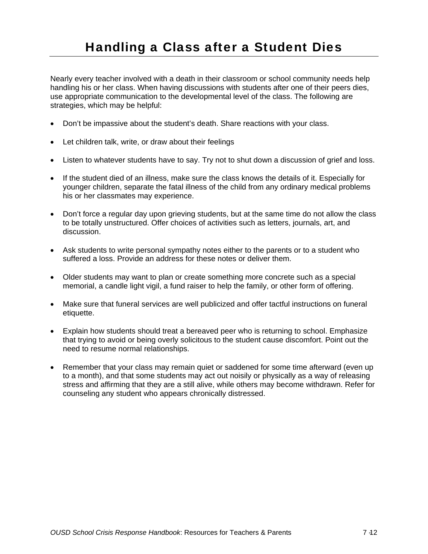## Handling a Class after a Student Dies

Nearly every teacher involved with a death in their classroom or school community needs help handling his or her class. When having discussions with students after one of their peers dies, use appropriate communication to the developmental level of the class. The following are strategies, which may be helpful:

- Don't be impassive about the student's death. Share reactions with your class.
- Let children talk, write, or draw about their feelings
- Listen to whatever students have to say. Try not to shut down a discussion of grief and loss.
- If the student died of an illness, make sure the class knows the details of it. Especially for younger children, separate the fatal illness of the child from any ordinary medical problems his or her classmates may experience.
- Don't force a regular day upon grieving students, but at the same time do not allow the class to be totally unstructured. Offer choices of activities such as letters, journals, art, and discussion.
- Ask students to write personal sympathy notes either to the parents or to a student who suffered a loss. Provide an address for these notes or deliver them.
- Older students may want to plan or create something more concrete such as a special memorial, a candle light vigil, a fund raiser to help the family, or other form of offering.
- Make sure that funeral services are well publicized and offer tactful instructions on funeral etiquette.
- Explain how students should treat a bereaved peer who is returning to school. Emphasize that trying to avoid or being overly solicitous to the student cause discomfort. Point out the need to resume normal relationships.
- Remember that your class may remain quiet or saddened for some time afterward (even up to a month), and that some students may act out noisily or physically as a way of releasing stress and affirming that they are a still alive, while others may become withdrawn. Refer for counseling any student who appears chronically distressed.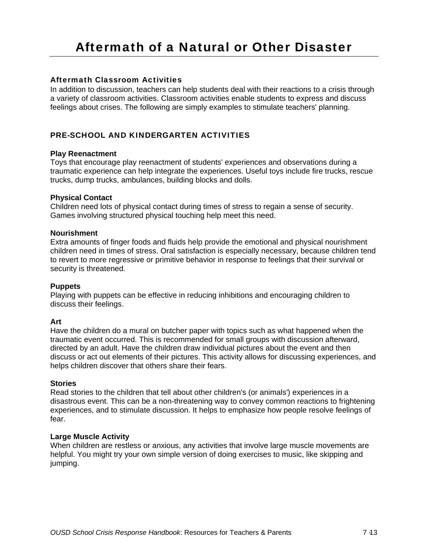#### Aftermath Classroom Activities

In addition to discussion, teachers can help students deal with their reactions to a crisis through a variety of classroom activities. Classroom activities enable students to express and discuss feelings about crises. The following are simply examples to stimulate teachers' planning.

## PRE-SCHOOL AND KINDERGARTEN ACTIVITIES

#### **Play Reenactment**

Toys that encourage play reenactment of students' experiences and observations during a traumatic experience can help integrate the experiences. Useful toys include fire trucks, rescue trucks, dump trucks, ambulances, building blocks and dolls.

#### **Physical Contact**

Children need lots of physical contact during times of stress to regain a sense of security. Games involving structured physical touching help meet this need.

#### **Nourishment**

Extra amounts of finger foods and fluids help provide the emotional and physical nourishment children need in times of stress. Oral satisfaction is especially necessary, because children tend to revert to more regressive or primitive behavior in response to feelings that their survival or security is threatened.

#### **Puppets**

Playing with puppets can be effective in reducing inhibitions and encouraging children to discuss their feelings.

#### **Art**

Have the children do a mural on butcher paper with topics such as what happened when the traumatic event occurred. This is recommended for small groups with discussion afterward, directed by an adult. Have the children draw individual pictures about the event and then discuss or act out elements of their pictures. This activity allows for discussing experiences, and helps children discover that others share their fears.

#### **Stories**

Read stories to the children that tell about other children's (or animals') experiences in a disastrous event. This can be a non-threatening way to convey common reactions to frightening experiences, and to stimulate discussion. It helps to emphasize how people resolve feelings of fear.

#### **Large Muscle Activity**

When children are restless or anxious, any activities that involve large muscle movements are helpful. You might try your own simple version of doing exercises to music, like skipping and jumping.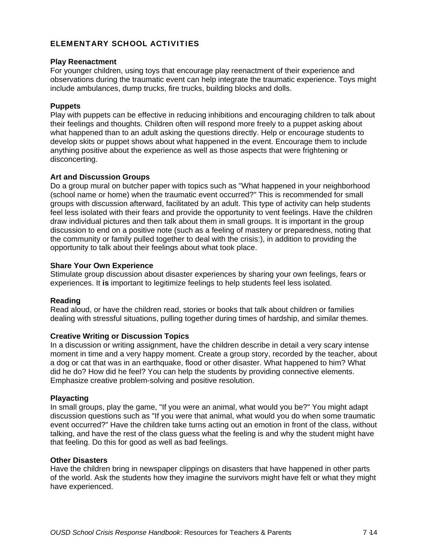## ELEMENTARY SCHOOL ACTIVITIES

#### **Play Reenactment**

For younger children, using toys that encourage play reenactment of their experience and observations during the traumatic event can help integrate the traumatic experience. Toys might include ambulances, dump trucks, fire trucks, building blocks and dolls.

#### **Puppets**

Play with puppets can be effective in reducing inhibitions and encouraging children to talk about their feelings and thoughts. Children often will respond more freely to a puppet asking about what happened than to an adult asking the questions directly. Help or encourage students to develop skits or puppet shows about what happened in the event. Encourage them to include anything positive about the experience as well as those aspects that were frightening or disconcerting.

#### **Art and Discussion Groups**

Do a group mural on butcher paper with topics such as "What happened in your neighborhood (school name or home) when the traumatic event occurred?" This is recommended for small groups with discussion afterward, facilitated by an adult. This type of activity can help students feel less isolated with their fears and provide the opportunity to vent feelings. Have the children draw individual pictures and then talk about them in small groups. It is important in the group discussion to end on a positive note (such as a feeling of mastery or preparedness, noting that the community or family pulled together to deal with the crisis:), in addition to providing the opportunity to talk about their feelings about what took place.

#### **Share Your Own Experience**

Stimulate group discussion about disaster experiences by sharing your own feelings, fears or experiences. It **is** important to legitimize feelings to help students feel less isolated.

#### **Reading**

Read aloud, or have the children read, stories or books that talk about children or families dealing with stressful situations, pulling together during times of hardship, and similar themes.

#### **Creative Writing or Discussion Topics**

In a discussion or writing assignment, have the children describe in detail a very scary intense moment in time and a very happy moment. Create a group story, recorded by the teacher, about a dog or cat that was in an earthquake, flood or other disaster. What happened to him? What did he do? How did he feel? You can help the students by providing connective elements. Emphasize creative problem-solving and positive resolution.

#### **Playacting**

In small groups, play the game, "If you were an animal, what would you be?" You might adapt discussion questions such as "If you were that animal, what would you do when some traumatic event occurred?" Have the children take turns acting out an emotion in front of the class, without talking, and have the rest of the class guess what the feeling is and why the student might have that feeling. Do this for good as well as bad feelings.

#### **Other Disasters**

Have the children bring in newspaper clippings on disasters that have happened in other parts of the world. Ask the students how they imagine the survivors might have felt or what they might have experienced.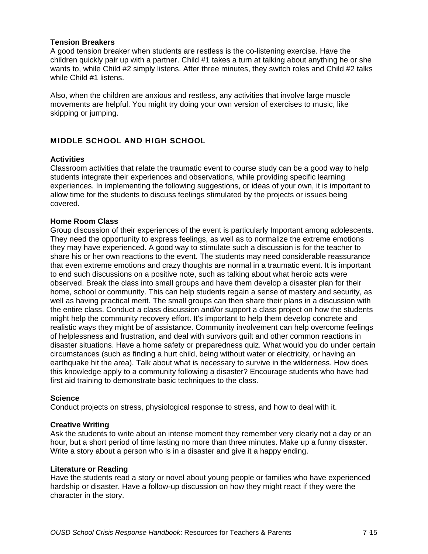#### **Tension Breakers**

A good tension breaker when students are restless is the co-listening exercise. Have the children quickly pair up with a partner. Child #1 takes a turn at talking about anything he or she wants to, while Child #2 simply listens. After three minutes, they switch roles and Child #2 talks while Child #1 listens.

Also, when the children are anxious and restless, any activities that involve large muscle movements are helpful. You might try doing your own version of exercises to music, like skipping or jumping.

## MIDDLE SCHOOL AND HIGH SCHOOL

#### **Activities**

Classroom activities that relate the traumatic event to course study can be a good way to help students integrate their experiences and observations, while providing specific learning experiences. In implementing the following suggestions, or ideas of your own, it is important to allow time for the students to discuss feelings stimulated by the projects or issues being covered.

#### **Home Room Class**

Group discussion of their experiences of the event is particularly Important among adolescents. They need the opportunity to express feelings, as well as to normalize the extreme emotions they may have experienced. A good way to stimulate such a discussion is for the teacher to share his or her own reactions to the event. The students may need considerable reassurance that even extreme emotions and crazy thoughts are normal in a traumatic event. It is important to end such discussions on a positive note, such as talking about what heroic acts were observed. Break the class into small groups and have them develop a disaster plan for their home, school or community. This can help students regain a sense of mastery and security, as well as having practical merit. The small groups can then share their plans in a discussion with the entire class. Conduct a class discussion and/or support a class project on how the students might help the community recovery effort. It's important to help them develop concrete and realistic ways they might be of assistance. Community involvement can help overcome feelings of helplessness and frustration, and deal with survivors guilt and other common reactions in disaster situations. Have a home safety or preparedness quiz. What would you do under certain circumstances (such as finding a hurt child, being without water or electricity, or having an earthquake hit the area). Talk about what is necessary to survive in the wilderness. How does this knowledge apply to a community following a disaster? Encourage students who have had first aid training to demonstrate basic techniques to the class.

#### **Science**

Conduct projects on stress, physiological response to stress, and how to deal with it.

#### **Creative Writing**

Ask the students to write about an intense moment they remember very clearly not a day or an hour, but a short period of time lasting no more than three minutes. Make up a funny disaster. Write a story about a person who is in a disaster and give it a happy ending.

#### **Literature or Reading**

Have the students read a story or novel about young people or families who have experienced hardship or disaster. Have a follow-up discussion on how they might react if they were the character in the story.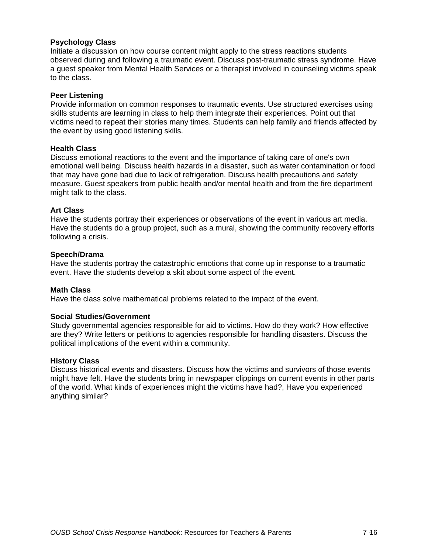### **Psychology Class**

Initiate a discussion on how course content might apply to the stress reactions students observed during and following a traumatic event. Discuss post-traumatic stress syndrome. Have a guest speaker from Mental Health Services or a therapist involved in counseling victims speak to the class.

#### **Peer Listening**

Provide information on common responses to traumatic events. Use structured exercises using skills students are learning in class to help them integrate their experiences. Point out that victims need to repeat their stories many times. Students can help family and friends affected by the event by using good listening skills.

#### **Health Class**

Discuss emotional reactions to the event and the importance of taking care of one's own emotional well being. Discuss health hazards in a disaster, such as water contamination or food that may have gone bad due to lack of refrigeration. Discuss health precautions and safety measure. Guest speakers from public health and/or mental health and from the fire department might talk to the class.

#### **Art Class**

Have the students portray their experiences or observations of the event in various art media. Have the students do a group project, such as a mural, showing the community recovery efforts following a crisis.

#### **Speech/Drama**

Have the students portray the catastrophic emotions that come up in response to a traumatic event. Have the students develop a skit about some aspect of the event.

#### **Math Class**

Have the class solve mathematical problems related to the impact of the event.

#### **Social Studies/Government**

Study governmental agencies responsible for aid to victims. How do they work? How effective are they? Write letters or petitions to agencies responsible for handling disasters. Discuss the political implications of the event within a community.

#### **History Class**

Discuss historical events and disasters. Discuss how the victims and survivors of those events might have felt. Have the students bring in newspaper clippings on current events in other parts of the world. What kinds of experiences might the victims have had?, Have you experienced anything similar?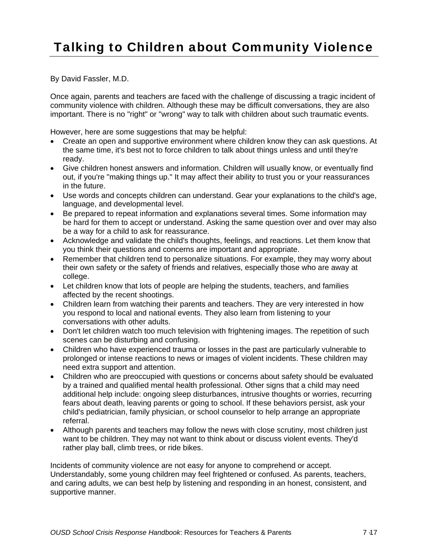## Talking to Children about Community Violence

#### By David Fassler, M.D.

Once again, parents and teachers are faced with the challenge of discussing a tragic incident of community violence with children. Although these may be difficult conversations, they are also important. There is no "right" or "wrong" way to talk with children about such traumatic events.

However, here are some suggestions that may be helpful:

- Create an open and supportive environment where children know they can ask questions. At the same time, it's best not to force children to talk about things unless and until they're ready.
- Give children honest answers and information. Children will usually know, or eventually find out, if you're "making things up." It may affect their ability to trust you or your reassurances in the future.
- Use words and concepts children can understand. Gear your explanations to the child's age, language, and developmental level.
- Be prepared to repeat information and explanations several times. Some information may be hard for them to accept or understand. Asking the same question over and over may also be a way for a child to ask for reassurance.
- Acknowledge and validate the child's thoughts, feelings, and reactions. Let them know that you think their questions and concerns are important and appropriate.
- Remember that children tend to personalize situations. For example, they may worry about their own safety or the safety of friends and relatives, especially those who are away at college.
- Let children know that lots of people are helping the students, teachers, and families affected by the recent shootings.
- Children learn from watching their parents and teachers. They are very interested in how you respond to local and national events. They also learn from listening to your conversations with other adults.
- Don't let children watch too much television with frightening images. The repetition of such scenes can be disturbing and confusing.
- Children who have experienced trauma or losses in the past are particularly vulnerable to prolonged or intense reactions to news or images of violent incidents. These children may need extra support and attention.
- Children who are preoccupied with questions or concerns about safety should be evaluated by a trained and qualified mental health professional. Other signs that a child may need additional help include: ongoing sleep disturbances, intrusive thoughts or worries, recurring fears about death, leaving parents or going to school. If these behaviors persist, ask your child's pediatrician, family physician, or school counselor to help arrange an appropriate referral.
- Although parents and teachers may follow the news with close scrutiny, most children just want to be children. They may not want to think about or discuss violent events. They'd rather play ball, climb trees, or ride bikes.

Incidents of community violence are not easy for anyone to comprehend or accept. Understandably, some young children may feel frightened or confused. As parents, teachers, and caring adults, we can best help by listening and responding in an honest, consistent, and supportive manner.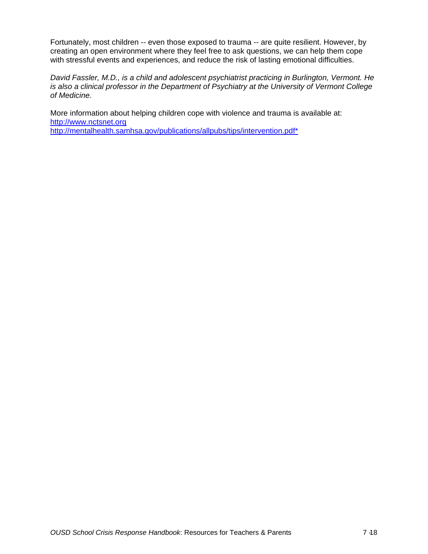Fortunately, most children -- even those exposed to trauma -- are quite resilient. However, by creating an open environment where they feel free to ask questions, we can help them cope with stressful events and experiences, and reduce the risk of lasting emotional difficulties.

*David Fassler, M.D., is a child and adolescent psychiatrist practicing in Burlington, Vermont. He is also a clinical professor in the Department of Psychiatry at the University of Vermont College of Medicine.*

More information about helping children cope with violence and trauma is available at: http://www.nctsnet.org http://mentalhealth.samhsa.gov/publications/allpubs/tips/intervention.pdf\*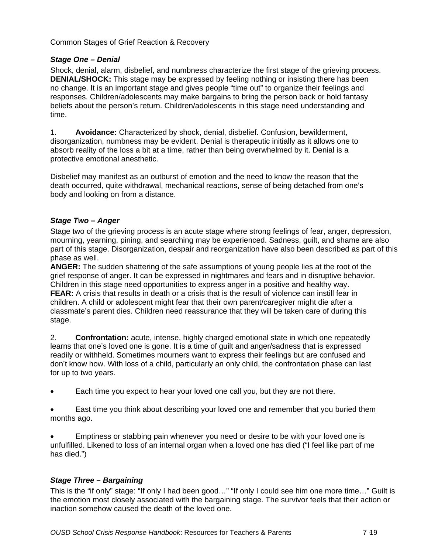## Common Stages of Grief Reaction & Recovery

## *Stage One – Denial*

Shock, denial, alarm, disbelief, and numbness characterize the first stage of the grieving process. **DENIAL/SHOCK:** This stage may be expressed by feeling nothing or insisting there has been no change. It is an important stage and gives people "time out" to organize their feelings and responses. Children/adolescents may make bargains to bring the person back or hold fantasy beliefs about the person's return. Children/adolescents in this stage need understanding and time.

1. **Avoidance:** Characterized by shock, denial, disbelief. Confusion, bewilderment, disorganization, numbness may be evident. Denial is therapeutic initially as it allows one to absorb reality of the loss a bit at a time, rather than being overwhelmed by it. Denial is a protective emotional anesthetic.

Disbelief may manifest as an outburst of emotion and the need to know the reason that the death occurred, quite withdrawal, mechanical reactions, sense of being detached from one's body and looking on from a distance.

## *Stage Two – Anger*

Stage two of the grieving process is an acute stage where strong feelings of fear, anger, depression, mourning, yearning, pining, and searching may be experienced. Sadness, guilt, and shame are also part of this stage. Disorganization, despair and reorganization have also been described as part of this phase as well.

**ANGER:** The sudden shattering of the safe assumptions of young people lies at the root of the grief response of anger. It can be expressed in nightmares and fears and in disruptive behavior. Children in this stage need opportunities to express anger in a positive and healthy way. **FEAR:** A crisis that results in death or a crisis that is the result of violence can instill fear in children. A child or adolescent might fear that their own parent/caregiver might die after a classmate's parent dies. Children need reassurance that they will be taken care of during this stage.

2. **Confrontation:** acute, intense, highly charged emotional state in which one repeatedly learns that one's loved one is gone. It is a time of guilt and anger/sadness that is expressed readily or withheld. Sometimes mourners want to express their feelings but are confused and don't know how. With loss of a child, particularly an only child, the confrontation phase can last for up to two years.

• Each time you expect to hear your loved one call you, but they are not there.

• East time you think about describing your loved one and remember that you buried them months ago.

• Emptiness or stabbing pain whenever you need or desire to be with your loved one is unfulfilled. Likened to loss of an internal organ when a loved one has died ("I feel like part of me has died.")

## *Stage Three – Bargaining*

This is the "if only" stage: "If only I had been good…" "If only I could see him one more time…" Guilt is the emotion most closely associated with the bargaining stage. The survivor feels that their action or inaction somehow caused the death of the loved one.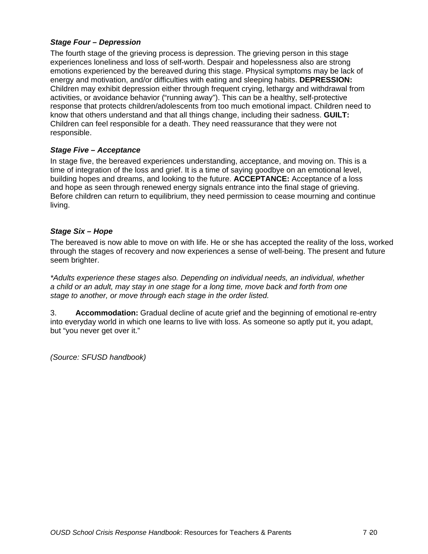## *Stage Four – Depression*

The fourth stage of the grieving process is depression. The grieving person in this stage experiences loneliness and loss of self-worth. Despair and hopelessness also are strong emotions experienced by the bereaved during this stage. Physical symptoms may be lack of energy and motivation, and/or difficulties with eating and sleeping habits. **DEPRESSION:**  Children may exhibit depression either through frequent crying, lethargy and withdrawal from activities, or avoidance behavior ("running away"). This can be a healthy, self-protective response that protects children/adolescents from too much emotional impact. Children need to know that others understand and that all things change, including their sadness. **GUILT:**  Children can feel responsible for a death. They need reassurance that they were not responsible.

## *Stage Five – Acceptance*

In stage five, the bereaved experiences understanding, acceptance, and moving on. This is a time of integration of the loss and grief. It is a time of saying goodbye on an emotional level, building hopes and dreams, and looking to the future. **ACCEPTANCE:** Acceptance of a loss and hope as seen through renewed energy signals entrance into the final stage of grieving. Before children can return to equilibrium, they need permission to cease mourning and continue living.

#### *Stage Six – Hope*

The bereaved is now able to move on with life. He or she has accepted the reality of the loss, worked through the stages of recovery and now experiences a sense of well-being. The present and future seem brighter.

*\*Adults experience these stages also. Depending on individual needs, an individual, whether a child or an adult, may stay in one stage for a long time, move back and forth from one stage to another, or move through each stage in the order listed.* 

3. **Accommodation:** Gradual decline of acute grief and the beginning of emotional re-entry into everyday world in which one learns to live with loss. As someone so aptly put it, you adapt, but "you never get over it."

*(Source: SFUSD handbook)*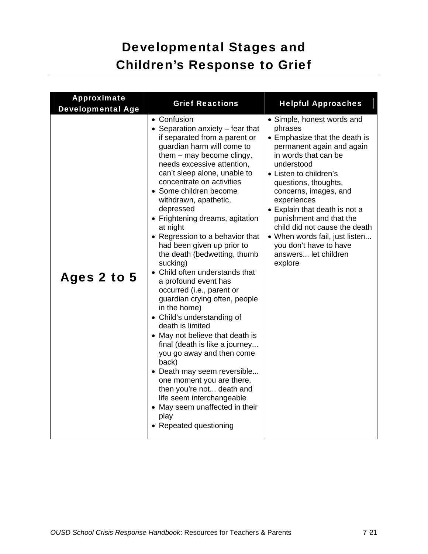# Developmental Stages and Children's Response to Grief

| <b>Approximate</b><br><b>Developmental Age</b> | <b>Grief Reactions</b>                                                                                                                                                                                                                                                                                                                                                                                                                                                                                                                                                                                                                                                                                                                                                                                                                                                                                                                                            | <b>Helpful Approaches</b>                                                                                                                                                                                                                                                                                                                                                                                                       |
|------------------------------------------------|-------------------------------------------------------------------------------------------------------------------------------------------------------------------------------------------------------------------------------------------------------------------------------------------------------------------------------------------------------------------------------------------------------------------------------------------------------------------------------------------------------------------------------------------------------------------------------------------------------------------------------------------------------------------------------------------------------------------------------------------------------------------------------------------------------------------------------------------------------------------------------------------------------------------------------------------------------------------|---------------------------------------------------------------------------------------------------------------------------------------------------------------------------------------------------------------------------------------------------------------------------------------------------------------------------------------------------------------------------------------------------------------------------------|
| Ages 2 to 5                                    | • Confusion<br>• Separation anxiety – fear that<br>if separated from a parent or<br>guardian harm will come to<br>them – may become clingy,<br>needs excessive attention,<br>can't sleep alone, unable to<br>concentrate on activities<br>• Some children become<br>withdrawn, apathetic,<br>depressed<br>• Frightening dreams, agitation<br>at night<br>• Regression to a behavior that<br>had been given up prior to<br>the death (bedwetting, thumb<br>sucking)<br>• Child often understands that<br>a profound event has<br>occurred (i.e., parent or<br>guardian crying often, people<br>in the home)<br>• Child's understanding of<br>death is limited<br>• May not believe that death is<br>final (death is like a journey<br>you go away and then come<br>back)<br>• Death may seem reversible<br>one moment you are there,<br>then you're not death and<br>life seem interchangeable<br>• May seem unaffected in their<br>play<br>• Repeated questioning | • Simple, honest words and<br>phrases<br>• Emphasize that the death is<br>permanent again and again<br>in words that can be<br>understood<br>• Listen to children's<br>questions, thoughts,<br>concerns, images, and<br>experiences<br>• Explain that death is not a<br>punishment and that the<br>child did not cause the death<br>• When words fail, just listen<br>you don't have to have<br>answers let children<br>explore |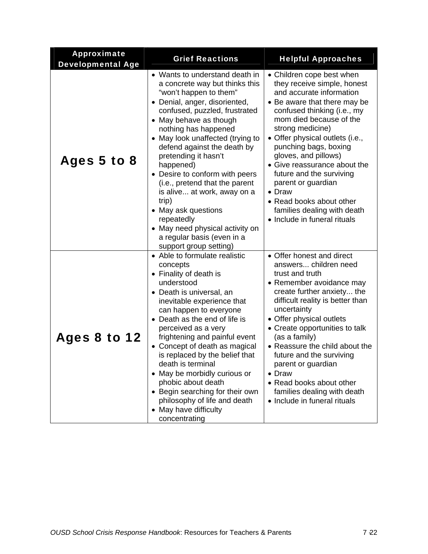| <b>Approximate</b><br><b>Developmental Age</b> | <b>Grief Reactions</b>                                                                                                                                                                                                                                                                                                                                                                                                                                                                                                                                                           | <b>Helpful Approaches</b>                                                                                                                                                                                                                                                                                                                                                                                                                                                     |
|------------------------------------------------|----------------------------------------------------------------------------------------------------------------------------------------------------------------------------------------------------------------------------------------------------------------------------------------------------------------------------------------------------------------------------------------------------------------------------------------------------------------------------------------------------------------------------------------------------------------------------------|-------------------------------------------------------------------------------------------------------------------------------------------------------------------------------------------------------------------------------------------------------------------------------------------------------------------------------------------------------------------------------------------------------------------------------------------------------------------------------|
| Ages 5 to 8                                    | • Wants to understand death in<br>a concrete way but thinks this<br>"won't happen to them"<br>Denial, anger, disoriented,<br>٠<br>confused, puzzled, frustrated<br>• May behave as though<br>nothing has happened<br>May look unaffected (trying to<br>$\bullet$<br>defend against the death by<br>pretending it hasn't<br>happened)<br>• Desire to conform with peers<br>(i.e., pretend that the parent<br>is alive at work, away on a<br>trip)<br>• May ask questions<br>repeatedly<br>• May need physical activity on<br>a regular basis (even in a<br>support group setting) | • Children cope best when<br>they receive simple, honest<br>and accurate information<br>• Be aware that there may be<br>confused thinking (i.e., my<br>mom died because of the<br>strong medicine)<br>• Offer physical outlets (i.e.,<br>punching bags, boxing<br>gloves, and pillows)<br>• Give reassurance about the<br>future and the surviving<br>parent or guardian<br>• Draw<br>• Read books about other<br>families dealing with death<br>• Include in funeral rituals |
| Ages 8 to 12                                   | • Able to formulate realistic<br>concepts<br>• Finality of death is<br>understood<br>• Death is universal, an<br>inevitable experience that<br>can happen to everyone<br>Death as the end of life is<br>perceived as a very<br>frightening and painful event<br>Concept of death as magical<br>$\bullet$<br>is replaced by the belief that<br>death is terminal<br>• May be morbidly curious or<br>phobic about death<br>Begin searching for their own<br>$\bullet$<br>philosophy of life and death<br>• May have difficulty<br>concentrating                                    | • Offer honest and direct<br>answers children need<br>trust and truth<br>• Remember avoidance may<br>create further anxiety the<br>difficult reality is better than<br>uncertainty<br>• Offer physical outlets<br>• Create opportunities to talk<br>(as a family)<br>• Reassure the child about the<br>future and the surviving<br>parent or guardian<br>$\bullet$ Draw<br>• Read books about other<br>families dealing with death<br>• Include in funeral rituals            |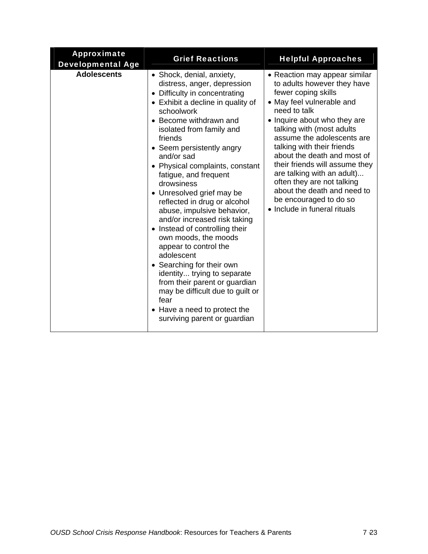| <b>Approximate</b><br><b>Developmental Age</b> | <b>Grief Reactions</b>                                                                                                                                                                                                                                                                                                                                                                                                                                                                                                                                                                                                                                                                                                                                                  | <b>Helpful Approaches</b>                                                                                                                                                                                                                                                                                                                                                                                                                                                       |
|------------------------------------------------|-------------------------------------------------------------------------------------------------------------------------------------------------------------------------------------------------------------------------------------------------------------------------------------------------------------------------------------------------------------------------------------------------------------------------------------------------------------------------------------------------------------------------------------------------------------------------------------------------------------------------------------------------------------------------------------------------------------------------------------------------------------------------|---------------------------------------------------------------------------------------------------------------------------------------------------------------------------------------------------------------------------------------------------------------------------------------------------------------------------------------------------------------------------------------------------------------------------------------------------------------------------------|
| <b>Adolescents</b>                             | • Shock, denial, anxiety,<br>distress, anger, depression<br>• Difficulty in concentrating<br>• Exhibit a decline in quality of<br>schoolwork<br>• Become withdrawn and<br>isolated from family and<br>friends<br>• Seem persistently angry<br>and/or sad<br>• Physical complaints, constant<br>fatigue, and frequent<br>drowsiness<br>• Unresolved grief may be<br>reflected in drug or alcohol<br>abuse, impulsive behavior,<br>and/or increased risk taking<br>• Instead of controlling their<br>own moods, the moods<br>appear to control the<br>adolescent<br>• Searching for their own<br>identity trying to separate<br>from their parent or guardian<br>may be difficult due to guilt or<br>fear<br>• Have a need to protect the<br>surviving parent or guardian | • Reaction may appear similar<br>to adults however they have<br>fewer coping skills<br>• May feel vulnerable and<br>need to talk<br>• Inquire about who they are<br>talking with (most adults<br>assume the adolescents are<br>talking with their friends<br>about the death and most of<br>their friends will assume they<br>are talking with an adult)<br>often they are not talking<br>about the death and need to<br>be encouraged to do so<br>• Include in funeral rituals |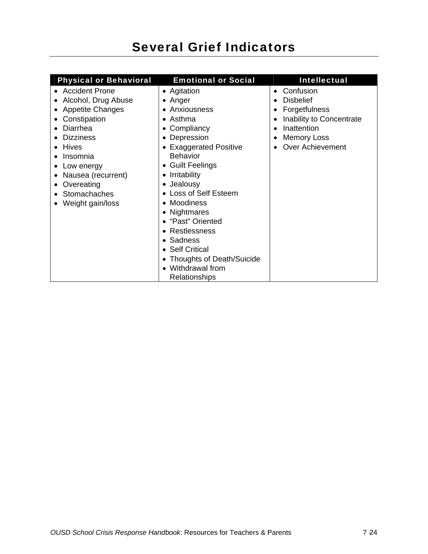## Several Grief Indicators

| <b>Physical or Behavioral</b>                                                                               | <b>Emotional or Social</b>                                                                                                                               | <b>Intellectual</b>                                                                                       |
|-------------------------------------------------------------------------------------------------------------|----------------------------------------------------------------------------------------------------------------------------------------------------------|-----------------------------------------------------------------------------------------------------------|
| • Accident Prone<br>Alcohol, Drug Abuse                                                                     | • Agitation<br>$\bullet$ Anger                                                                                                                           | Confusion<br>$\bullet$<br><b>Disbelief</b>                                                                |
| <b>Appetite Changes</b><br>Constipation<br>Diarrhea<br><b>Dizziness</b><br><b>Hives</b>                     | • Anxiousness<br>$\bullet$ Asthma<br>Compliancy<br>• Depression<br><b>Exaggerated Positive</b>                                                           | Forgetfulness<br>Inability to Concentrate<br>Inattention<br><b>Memory Loss</b><br><b>Over Achievement</b> |
| Insomnia<br>Low energy<br>Nausea (recurrent)<br>Overeating<br>$\bullet$<br>Stomachaches<br>Weight gain/loss | <b>Behavior</b><br>• Guilt Feelings<br>• Irritability<br>• Jealousy<br>• Loss of Self Esteem<br>• Moodiness                                              |                                                                                                           |
|                                                                                                             | • Nightmares<br>• "Past" Oriented<br>• Restlessness<br>• Sadness<br>• Self Critical<br>• Thoughts of Death/Suicide<br>• Withdrawal from<br>Relationships |                                                                                                           |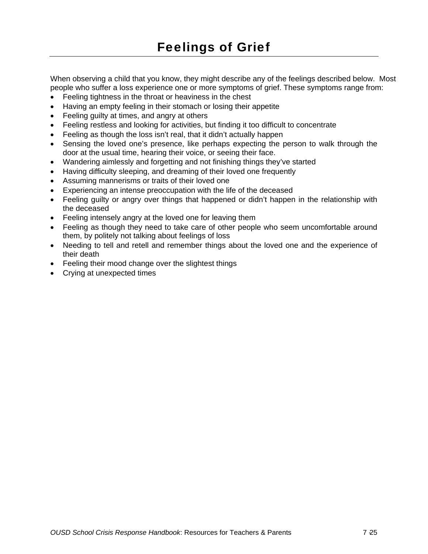When observing a child that you know, they might describe any of the feelings described below. Most people who suffer a loss experience one or more symptoms of grief. These symptoms range from:

- Feeling tightness in the throat or heaviness in the chest
- Having an empty feeling in their stomach or losing their appetite
- Feeling guilty at times, and angry at others
- Feeling restless and looking for activities, but finding it too difficult to concentrate
- Feeling as though the loss isn't real, that it didn't actually happen
- Sensing the loved one's presence, like perhaps expecting the person to walk through the door at the usual time, hearing their voice, or seeing their face.
- Wandering aimlessly and forgetting and not finishing things they've started
- Having difficulty sleeping, and dreaming of their loved one frequently
- Assuming mannerisms or traits of their loved one
- Experiencing an intense preoccupation with the life of the deceased
- Feeling guilty or angry over things that happened or didn't happen in the relationship with the deceased
- Feeling intensely angry at the loved one for leaving them
- Feeling as though they need to take care of other people who seem uncomfortable around them, by politely not talking about feelings of loss
- Needing to tell and retell and remember things about the loved one and the experience of their death
- Feeling their mood change over the slightest things
- Crying at unexpected times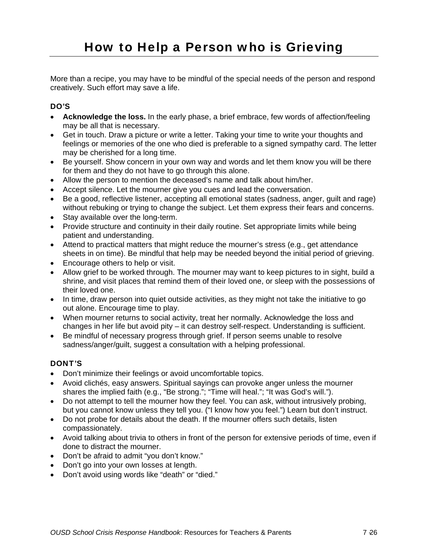More than a recipe, you may have to be mindful of the special needs of the person and respond creatively. Such effort may save a life.

## DO'S

- **Acknowledge the loss.** In the early phase, a brief embrace, few words of affection/feeling may be all that is necessary.
- Get in touch. Draw a picture or write a letter. Taking your time to write your thoughts and feelings or memories of the one who died is preferable to a signed sympathy card. The letter may be cherished for a long time.
- Be yourself. Show concern in your own way and words and let them know you will be there for them and they do not have to go through this alone.
- Allow the person to mention the deceased's name and talk about him/her.
- Accept silence. Let the mourner give you cues and lead the conversation.
- Be a good, reflective listener, accepting all emotional states (sadness, anger, guilt and rage) without rebuking or trying to change the subject. Let them express their fears and concerns.
- Stay available over the long-term.
- Provide structure and continuity in their daily routine. Set appropriate limits while being patient and understanding.
- Attend to practical matters that might reduce the mourner's stress (e.g., get attendance sheets in on time). Be mindful that help may be needed beyond the initial period of grieving.
- Encourage others to help or visit.
- Allow grief to be worked through. The mourner may want to keep pictures to in sight, build a shrine, and visit places that remind them of their loved one, or sleep with the possessions of their loved one.
- In time, draw person into quiet outside activities, as they might not take the initiative to go out alone. Encourage time to play.
- When mourner returns to social activity, treat her normally. Acknowledge the loss and changes in her life but avoid pity – it can destroy self-respect. Understanding is sufficient.
- Be mindful of necessary progress through grief. If person seems unable to resolve sadness/anger/guilt, suggest a consultation with a helping professional.

## DONT'S

- Don't minimize their feelings or avoid uncomfortable topics.
- Avoid clichés, easy answers. Spiritual sayings can provoke anger unless the mourner shares the implied faith (e.g., "Be strong."; "Time will heal."; "It was God's will.").
- Do not attempt to tell the mourner how they feel. You can ask, without intrusively probing, but you cannot know unless they tell you. ("I know how you feel.") Learn but don't instruct.
- Do not probe for details about the death. If the mourner offers such details, listen compassionately.
- Avoid talking about trivia to others in front of the person for extensive periods of time, even if done to distract the mourner.
- Don't be afraid to admit "you don't know."
- Don't go into your own losses at length.
- Don't avoid using words like "death" or "died."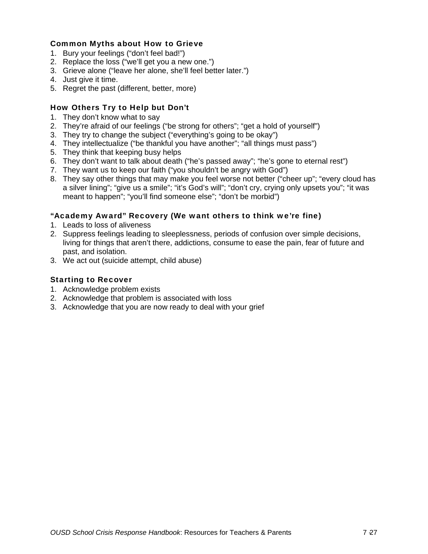## Common Myths about How to Grieve

- 1. Bury your feelings ("don't feel bad!")
- 2. Replace the loss ("we'll get you a new one.")
- 3. Grieve alone ("leave her alone, she'll feel better later.")
- 4. Just give it time.
- 5. Regret the past (different, better, more)

## How Others Try to Help but Don't

- 1. They don't know what to say
- 2. They're afraid of our feelings ("be strong for others"; "get a hold of yourself")
- 3. They try to change the subject ("everything's going to be okay")
- 4. They intellectualize ("be thankful you have another"; "all things must pass")
- 5. They think that keeping busy helps
- 6. They don't want to talk about death ("he's passed away"; "he's gone to eternal rest")
- 7. They want us to keep our faith ("you shouldn't be angry with God")
- 8. They say other things that may make you feel worse not better ("cheer up"; "every cloud has a silver lining"; "give us a smile"; "it's God's will"; "don't cry, crying only upsets you"; "it was meant to happen"; "you'll find someone else"; "don't be morbid")

## "Academy Award" Recovery (We want others to think we're fine)

- 1. Leads to loss of aliveness
- 2. Suppress feelings leading to sleeplessness, periods of confusion over simple decisions, living for things that aren't there, addictions, consume to ease the pain, fear of future and past, and isolation.
- 3. We act out (suicide attempt, child abuse)

## Starting to Recover

- 1. Acknowledge problem exists
- 2. Acknowledge that problem is associated with loss
- 3. Acknowledge that you are now ready to deal with your grief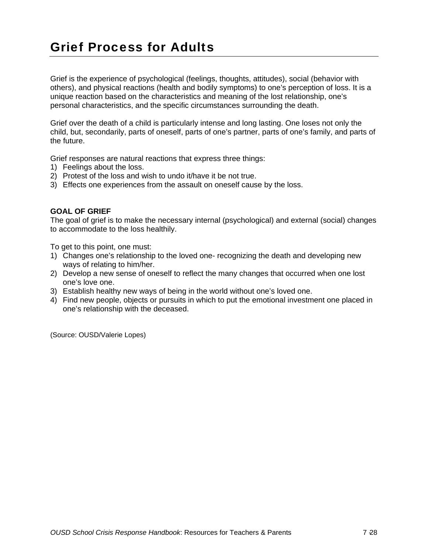## Grief Process for Adults

Grief is the experience of psychological (feelings, thoughts, attitudes), social (behavior with others), and physical reactions (health and bodily symptoms) to one's perception of loss. It is a unique reaction based on the characteristics and meaning of the lost relationship, one's personal characteristics, and the specific circumstances surrounding the death.

Grief over the death of a child is particularly intense and long lasting. One loses not only the child, but, secondarily, parts of oneself, parts of one's partner, parts of one's family, and parts of the future.

Grief responses are natural reactions that express three things:

- 1) Feelings about the loss.
- 2) Protest of the loss and wish to undo it/have it be not true.
- 3) Effects one experiences from the assault on oneself cause by the loss.

#### **GOAL OF GRIEF**

The goal of grief is to make the necessary internal (psychological) and external (social) changes to accommodate to the loss healthily.

To get to this point, one must:

- 1) Changes one's relationship to the loved one- recognizing the death and developing new ways of relating to him/her.
- 2) Develop a new sense of oneself to reflect the many changes that occurred when one lost one's love one.
- 3) Establish healthy new ways of being in the world without one's loved one.
- 4) Find new people, objects or pursuits in which to put the emotional investment one placed in one's relationship with the deceased.

(Source: OUSD/Valerie Lopes)